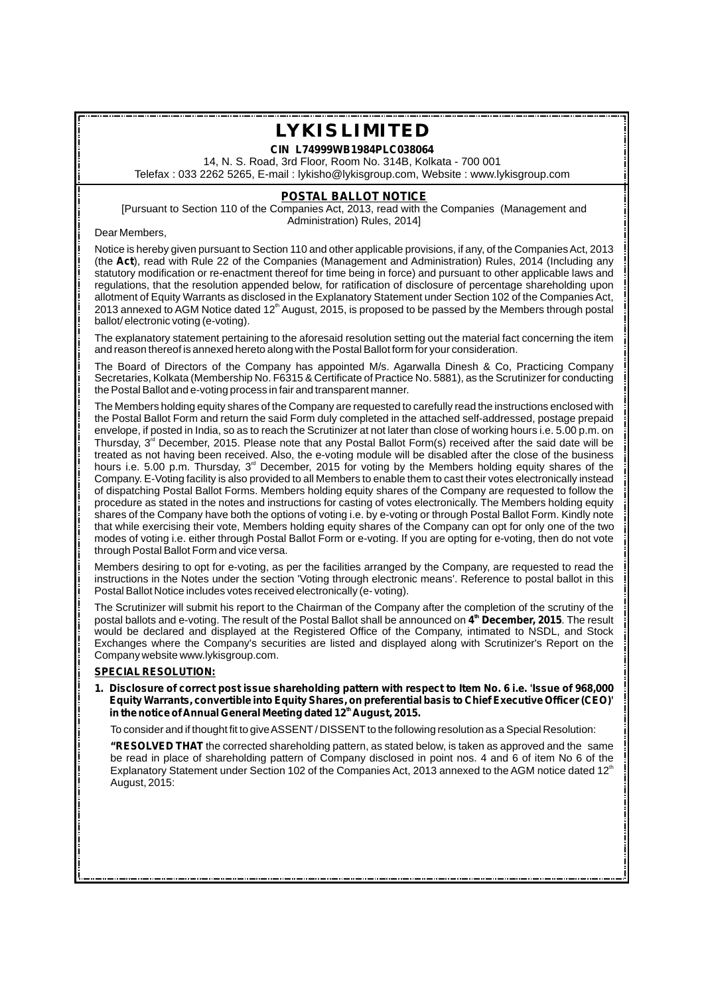**CIN L74999WB1984PLC038064**

14, N. S. Road, 3rd Floor, Room No. 314B, Kolkata - 700 001 Telefax : 033 2262 5265, E-mail : lykisho@lykisgroup.com, Website : www.lykisgroup.com

### **POSTAL BALLOT NOTICE**

[Pursuant to Section 110 of the Companies Act, 2013, read with the Companies (Management and Administration) Rules, 2014]

Dear Members,

Notice is hereby given pursuant to Section 110 and other applicable provisions, if any, of the Companies Act, 2013 (the **Act**), read with Rule 22 of the Companies (Management and Administration) Rules, 2014 (Including any statutory modification or re-enactment thereof for time being in force) and pursuant to other applicable laws and regulations, that the resolution appended below, for ratification of disclosure of percentage shareholding upon allotment of Equity Warrants as disclosed in the Explanatory Statement under Section 102 of the Companies Act, 2013 annexed to AGM Notice dated 12<sup>th</sup> August, 2015, is proposed to be passed by the Members through postal ballot/ electronic voting (e-voting).

The explanatory statement pertaining to the aforesaid resolution setting out the material fact concerning the item and reason thereof is annexed hereto along with the Postal Ballot form for your consideration.

The Board of Directors of the Company has appointed M/s. Agarwalla Dinesh & Co, Practicing Company Secretaries, Kolkata (Membership No. F6315 & Certificate of Practice No. 5881), as the Scrutinizer for conducting the Postal Ballot and e-voting process in fair and transparent manner.

The Members holding equity shares of the Company are requested to carefully read the instructions enclosed with the Postal Ballot Form and return the said Form duly completed in the attached self-addressed, postage prepaid envelope, if posted in India, so as to reach the Scrutinizer at not later than close of working hours i.e. 5.00 p.m. on Thursday,  $3<sup>rd</sup>$  December, 2015. Please note that any Postal Ballot Form(s) received after the said date will be treated as not having been received. Also, the e-voting module will be disabled after the close of the business hours i.e. 5.00 p.m. Thursday, 3<sup>rd</sup> December, 2015 for voting by the Members holding equity shares of the Company. E-Voting facility is also provided to all Members to enable them to cast their votes electronically instead of dispatching Postal Ballot Forms. Members holding equity shares of the Company are requested to follow the procedure as stated in the notes and instructions for casting of votes electronically. The Members holding equity shares of the Company have both the options of voting i.e. by e-voting or through Postal Ballot Form. Kindly note that while exercising their vote, Members holding equity shares of the Company can opt for only one of the two modes of voting i.e. either through Postal Ballot Form or e-voting. If you are opting for e-voting, then do not vote through Postal Ballot Form and vice versa.

Members desiring to opt for e-voting, as per the facilities arranged by the Company, are requested to read the instructions in the Notes under the section 'Voting through electronic means'. Reference to postal ballot in this Postal Ballot Notice includes votes received electronically (e-voting).

The Scrutinizer will submit his report to the Chairman of the Company after the completion of the scrutiny of the **th** postal ballots and e-voting. The result of the Postal Ballot shall be announced on **4 December, 2015**. The result would be declared and displayed at the Registered Office of the Company, intimated to NSDL, and Stock Exchanges where the Company's securities are listed and displayed along with Scrutinizer's Report on the Company website www.lykisgroup.com.

### **SPECIAL RESOLUTION:**

**1. Disclosure of correct post issue shareholding pattern with respect to Item No. 6 i.e. 'Issue of 968,000 Equity Warrants, convertible into Equity Shares, on preferential basis to Chief Executive Officer (CEO)' in the notice of Annual General Meeting dated 12<sup>th</sup> August, 2015.** 

To consider and if thought fit to give ASSENT/DISSENT to the following resolution as a Special Resolution:

**"RESOLVED THAT** the corrected shareholding pattern, as stated below, is taken as approved and the same be read in place of shareholding pattern of Company disclosed in point nos. 4 and 6 of item No 6 of the Explanatory Statement under Section 102 of the Companies Act, 2013 annexed to the AGM notice dated 12<sup>th</sup> August, 2015: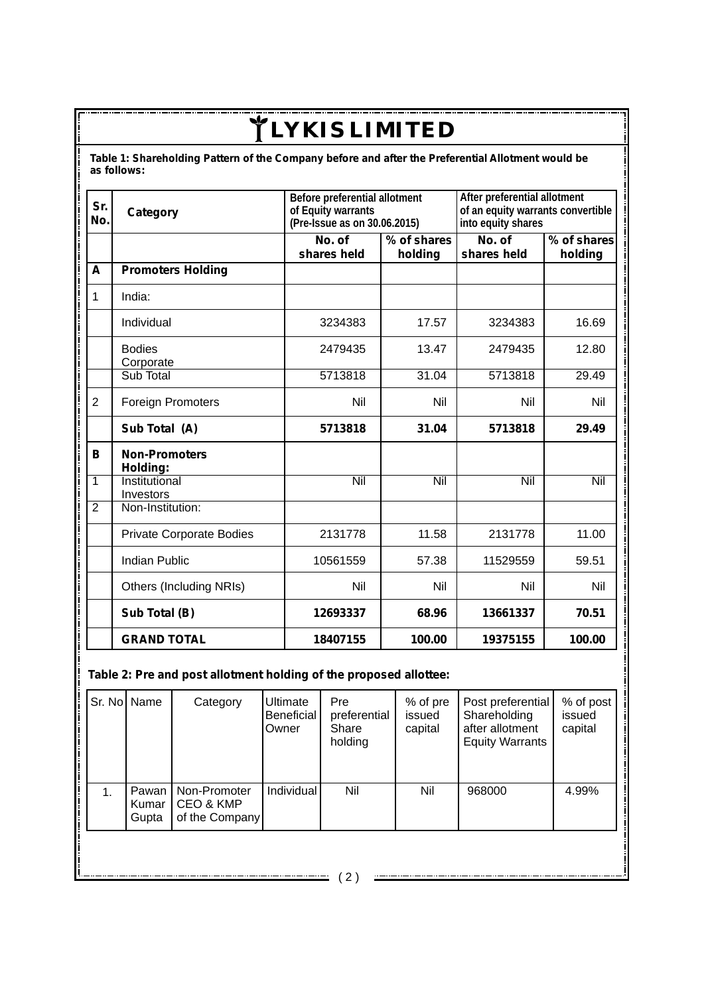**Table 1: Shareholding Pattern of the Company before and after the Preferential Allotment would be as follows:**

| Sr.<br>No.     | Category                         | Before preferential allotment<br>of Equity warrants<br>(Pre-Issue as on 30.06.2015) |                  | After preferential allotment<br>of an equity warrants convertible<br>into equity shares |                         |  |
|----------------|----------------------------------|-------------------------------------------------------------------------------------|------------------|-----------------------------------------------------------------------------------------|-------------------------|--|
|                |                                  | No. of<br>$\sqrt{6}$ of shares<br>shares held<br>holding                            |                  | $\overline{No}$ . of<br>shares held                                                     | % of shares<br>holding  |  |
| A              | <b>Promoters Holding</b>         |                                                                                     |                  |                                                                                         |                         |  |
| $\mathbf{1}$   | India:                           |                                                                                     |                  |                                                                                         |                         |  |
|                | Individual                       | 3234383                                                                             | 17.57            | 3234383                                                                                 | 16.69                   |  |
|                | <b>Bodies</b><br>Corporate       | 2479435                                                                             | 13.47            | 2479435                                                                                 | 12.80                   |  |
|                | Sub Total                        | 5713818                                                                             | 31.04            | 5713818                                                                                 | 29.49                   |  |
| $\overline{2}$ | <b>Foreign Promoters</b>         | Nil                                                                                 | Nil              | Nil                                                                                     | Nil                     |  |
|                | Sub Total (A)                    | 5713818                                                                             | 31.04            | 5713818                                                                                 | 29.49                   |  |
| В              | <b>Non-Promoters</b><br>Holding: |                                                                                     |                  |                                                                                         |                         |  |
| $\overline{1}$ | Institutional<br>Investors       | $\overline{\text{Nil}}$                                                             | $\overline{Nil}$ | $\overline{\text{Nil}}$                                                                 | $\overline{\text{Nil}}$ |  |
| $\overline{2}$ | Non-Institution:                 |                                                                                     |                  |                                                                                         |                         |  |
|                | <b>Private Corporate Bodies</b>  | 2131778                                                                             | 11.58            | 2131778                                                                                 | 11.00                   |  |
|                | <b>Indian Public</b>             | 10561559                                                                            | 57.38            | 11529559                                                                                | 59.51                   |  |
|                | Others (Including NRIs)          | Nil                                                                                 | Nil              | Nil                                                                                     | Nil                     |  |
|                | Sub Total (B)                    | 12693337                                                                            | 68.96            | 13661337                                                                                | 70.51                   |  |
|                | <b>GRAND TOTAL</b>               | 18407155<br>100.00                                                                  |                  | 19375155                                                                                | 100.00                  |  |

## **Table 2: Pre and post allotment holding of the proposed allottee:**

|    | Sr. No Name             | Category                                    | Ultimate<br>Beneficial<br>Owner | Pre<br>preferential<br>Share<br>holding | % of pre<br>issued<br>capital | Post preferential<br>Shareholding<br>after allotment<br><b>Equity Warrants</b> | % of post<br>issued<br>capital |
|----|-------------------------|---------------------------------------------|---------------------------------|-----------------------------------------|-------------------------------|--------------------------------------------------------------------------------|--------------------------------|
| 1. | Pawan<br>Kumar<br>Gupta | Non-Promoter<br>CEO & KMP<br>of the Company | Individual                      | Nil                                     | Nil                           | 968000                                                                         | 4.99%                          |
|    |                         |                                             |                                 |                                         |                               |                                                                                |                                |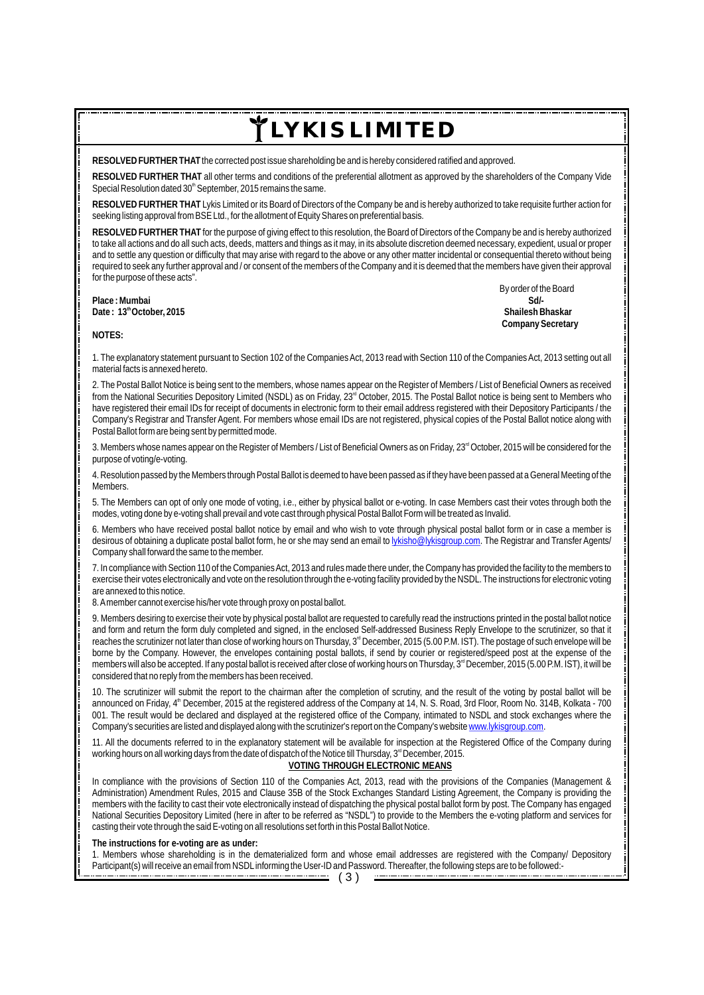**RESOLVED FURTHER THAT** the corrected post issue shareholding be and is hereby considered ratified and approved.

**RESOLVED FURTHER THAT** all other terms and conditions of the preferential allotment as approved by the shareholders of the Company Vide Special Resolution dated 30<sup>th</sup> September, 2015 remains the same.

**RESOLVED FURTHER THAT** Lykis Limited or its Board of Directors of the Company be and is hereby authorized to take requisite further action for seeking listing approval from BSE Ltd., for the allotment of Equity Shares on preferential basis.

**RESOLVED FURTHER THAT** for the purpose of giving effect to this resolution, the Board of Directors of the Company be and is hereby authorized to take all actions and do all such acts, deeds, matters and things as it may, in its absolute discretion deemed necessary, expedient, usual or proper and to settle any question or difficulty that may arise with regard to the above or any other matter incidental or consequential thereto without being required to seek any further approval and / or consent of the members of the Company and it is deemed that the members have given their approval for the purpose of these acts".

**Place : Mumbai Sd/- Date: 13<sup>th</sup> October, 2015** 

 By order of the Board  **Company Secretary**

**NOTES:**

1. The explanatory statement pursuant to Section 102 of the Companies Act, 2013 read with Section 110 of the Companies Act, 2013 setting out all material facts is annexed hereto.

2. The Postal Ballot Notice is being sent to the members, whose names appear on the Register of Members / List of Beneficial Owners as received from the National Securities Depository Limited (NSDL) as on Friday, 23<sup>rd</sup> October, 2015. The Postal Ballot notice is being sent to Members who have registered their email IDs for receipt of documents in electronic form to their email address registered with their Depository Participants / the Company's Registrar and Transfer Agent. For members whose email IDs are not registered, physical copies of the Postal Ballot notice along with Postal Ballot form are being sent by permitted mode.

3. Members whose names appear on the Register of Members / List of Beneficial Owners as on Friday, 23<sup>rd</sup> October, 2015 will be considered for the purpose of voting/e-voting.

4. Resolution passed by the Members through Postal Ballot is deemed to have been passed as if they have been passed at a General Meeting of the Members.

5. The Members can opt of only one mode of voting, i.e., either by physical ballot or e-voting. In case Members cast their votes through both the modes, voting done by e-voting shall prevail and vote cast through physical Postal Ballot Form will be treated as Invalid.

6. Members who have received postal ballot notice by email and who wish to vote through physical postal ballot form or in case a member is desirous of obtaining a duplicate postal ballot form, he or she may send an email to lykisho@lykisgroup.com. The Registrar and Transfer Agents/ Company shall forward the same to the member.

7. In compliance with Section 110 of the Companies Act, 2013 and rules made there under, the Company has provided the facility to the members to exercise their votes electronically and vote on the resolution through the e-voting facility provided by the NSDL. The instructions for electronic voting are annexed to this notice.

8. Amember cannot exercise his/her vote through proxy on postal ballot.

9. Members desiring to exercise their vote by physical postal ballot are requested to carefully read the instructions printed in the postal ballot notice and form and return the form duly completed and signed, in the enclosed Self-addressed Business Reply Envelope to the scrutinizer, so that it reaches the scrutinizer not later than close of working hours on Thursday, 3<sup>"</sup> December, 2015 (5.00 P.M. IST). The postage of such envelope will be borne by the Company. However, the envelopes containing postal ballots, if send by courier or registered/speed post at the expense of the members will also be accepted. If any postal ballot is received after close of working hours on Thursday, 3<sup>d</sup> December, 2015 (5.00 P.M. IST), it will be considered that no reply from the members has been received.

10. The scrutinizer will submit the report to the chairman after the completion of scrutiny, and the result of the voting by postal ballot will be announced on Friday, 4<sup>th</sup> December, 2015 at the registered address of the Company at 14, N. S. Road, 3rd Floor, Room No. 314B, Kolkata - 700 001. The result would be declared and displayed at the registered office of the Company, intimated to NSDL and stock exchanges where the Company's securities are listed and displayed along with the scrutinizer's report on the Company's website www.lykisgroup.com.

11. All the documents referred to in the explanatory statement will be available for inspection at the Registered Office of the Company during working hours on all working days from the date of dispatch of the Notice till Thursday, 3<sup>rd</sup> December, 2015.

#### **VOTING THROUGH ELECTRONIC MEANS**

In compliance with the provisions of Section 110 of the Companies Act, 2013, read with the provisions of the Companies (Management & Administration) Amendment Rules, 2015 and Clause 35B of the Stock Exchanges Standard Listing Agreement, the Company is providing the members with the facility to cast their vote electronically instead of dispatching the physical postal ballot form by post. The Company has engaged National Securities Depository Limited (here in after to be referred as "NSDL") to provide to the Members the e-voting platform and services for casting their vote through the said E-voting on all resolutions set forth in this Postal Ballot Notice.

**The instructions for e-voting are as under:**

1. Members whose shareholding is in the dematerialized form and whose email addresses are registered with the Company/ Depository Participant(s) will receive an email from NSDL informing the User-ID and Password. Thereafter, the following steps are to be followed:-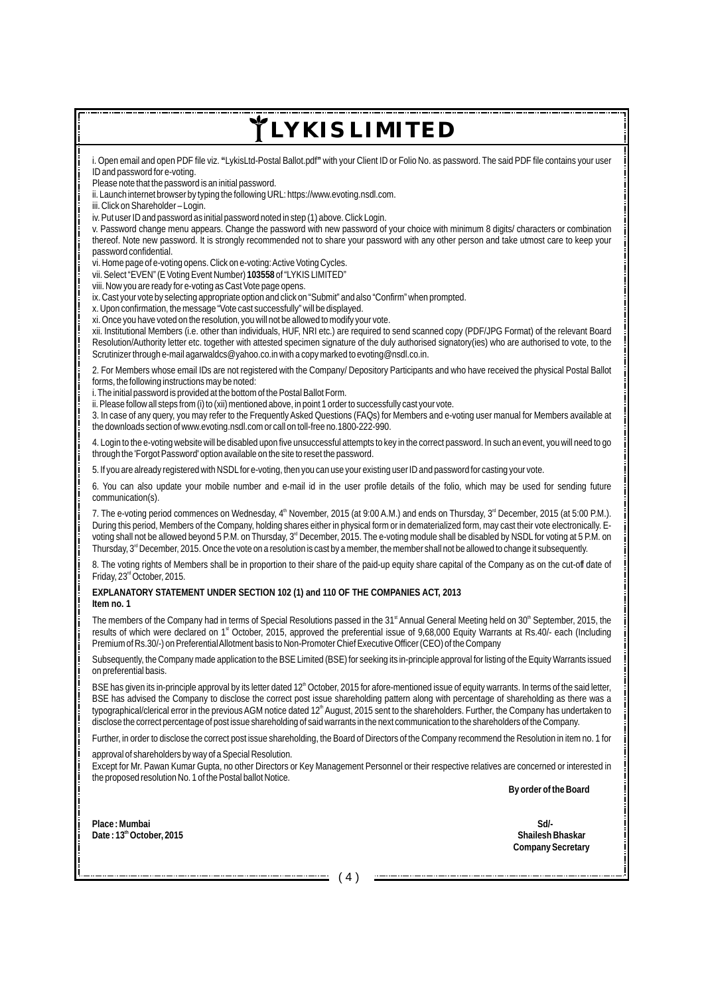i. Open email and open PDF file viz. **"**LykisLtd-Postal Ballot.pdf**"** with your Client ID or Folio No. as password. The said PDF file contains your user ID and password for e-voting.

Please note that the password is an initial password.

ii. Launch internet browser by typing the following URL: https://www.evoting.nsdl.com.

iii. Click on Shareholder – Login.

iv. Put user ID and password as initial password noted in step (1) above. Click Login.

v. Password change menu appears. Change the password with new password of your choice with minimum 8 digits/ characters or combination thereof. Note new password. It is strongly recommended not to share your password with any other person and take utmost care to keep your password confidential.

vi. Home page of e-voting opens. Click on e-voting: Active Voting Cycles.

vii. Select "EVEN" (E Voting Event Number) **103558** of "LYKIS LIMITED"

viii. Now you are ready for e-voting as Cast Vote page opens.

ix. Cast your vote by selecting appropriate option and click on "Submit" and also "Confirm" when prompted.

x. Upon confirmation, the message "Vote cast successfully" will be displayed.

xi. Once you have voted on the resolution, you will not be allowed to modify your vote.

xii. Institutional Members (i.e. other than individuals, HUF, NRI etc.) are required to send scanned copy (PDF/JPG Format) of the relevant Board Resolution/Authority letter etc. together with attested specimen signature of the duly authorised signatory(ies) who are authorised to vote, to the Scrutinizer through e-mail agarwaldcs@yahoo.co.in with a copy marked to evoting@nsdl.co.in.

2. For Members whose email IDs are not registered with the Company/ Depository Participants and who have received the physical Postal Ballot forms, the following instructions may be noted:

i. The initial password is provided at the bottom of the Postal Ballot Form.

ii. Please follow all steps from (i) to (xii) mentioned above, in point 1 order to successfully cast your vote.

3. In case of any query, you may refer to the Frequently Asked Questions (FAQs) for Members and e-voting user manual for Members available at the downloads section of www.evoting.nsdl.com or call on toll-free no.1800-222-990.

4. Login to the e-voting website will be disabled upon five unsuccessful attempts to key in the correct password. In such an event, you will need to go through the 'Forgot Password' option available on the site to reset the password.

5. If you are already registered with NSDLfor e-voting, then you can use your existing user ID and password for casting your vote.

6. You can also update your mobile number and e-mail id in the user profile details of the folio, which may be used for sending future communication(s).

7. The e-voting period commences on Wednesday,  $4^{\text{th}}$  November, 2015 (at 9:00 A.M.) and ends on Thursday,  $3^{\text{rd}}$  December, 2015 (at 5:00 P.M.). During this period, Members of the Company, holding shares either in physical form or in dematerialized form, may cast their vote electronically. Evoting shall not be allowed beyond 5 P.M. on Thursday, 3<sup>rd</sup> December, 2015. The e-voting module shall be disabled by NSDL for voting at 5 P.M. on Thursday,  $3<sup>rd</sup>$  December, 2015. Once the vote on a resolution is cast by a member, the member shall not be allowed to change it subsequently.

8. The voting rights of Members shall be in proportion to their share of the paid-up equity share capital of the Company as on the cut-off date of Friday, 23<sup>rd</sup> October, 2015.

**EXPLANATORY STATEMENT UNDER SECTION 102 (1) and 110 OF THE COMPANIES ACT, 2013 Item no. 1**

The members of the Company had in terms of Special Resolutions passed in the 31<sup>st</sup> Annual General Meeting held on  $30<sup>th</sup>$  September, 2015, the results of which were declared on 1<sup>st</sup> October, 2015, approved the preferential issue of 9,68,000 Equity Warrants at Rs.40/- each (Including Premium of Rs.30/-) on Preferential Allotment basis to Non-Promoter Chief Executive Officer (CEO) of the Company

Subsequently, the Company made application to the BSE Limited (BSE) for seeking its in-principle approval for listing of the Equity Warrants issued on preferential basis.

BSE has given its in-principle approval by its letter dated  $12<sup>th</sup>$  October, 2015 for afore-mentioned issue of equity warrants. In terms of the said letter, BSE has advised the Company to disclose the correct post issue shareholding pattern along with percentage of shareholding as there was a typographical/clerical error in the previous AGM notice dated 12<sup>th</sup> August, 2015 sent to the shareholders. Further, the Company has undertaken to disclose the correct percentage of post issue shareholding of said warrants in the next communication to the shareholders of the Company.

Further, in order to disclose the correct post issue shareholding, the Board of Directors of the Company recommend the Resolution in item no. 1 for

approval of shareholders by way of a Special Resolution.

Except for Mr. Pawan Kumar Gupta, no other Directors or Key Management Personnel or their respective relatives are concerned or interested in the proposed resolution No. 1 of the Postal ballot Notice.

 **By order of the Board**

**Place : Mumbai Sd/ th Date : 13 October, 2015**

 **Company Secretary Shailesh Bhaskar**

( 4 )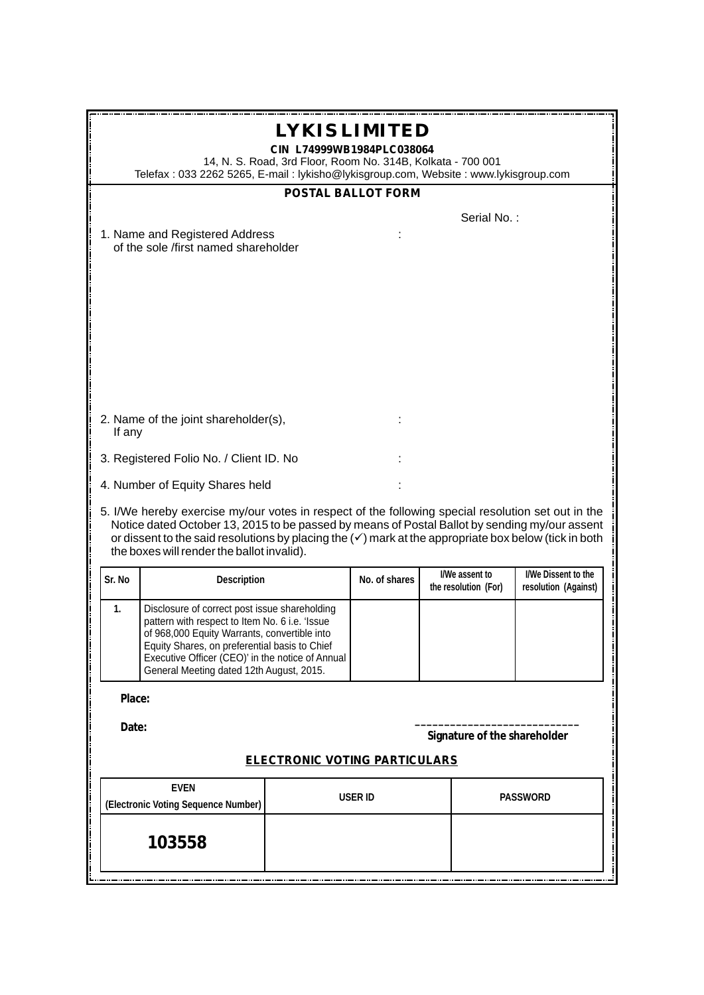| LYKIS LIMITED<br>CIN L74999WB1984PLC038064<br>14, N. S. Road, 3rd Floor, Room No. 314B, Kolkata - 700 001<br>Telefax: 033 2262 5265, E-mail: lykisho@lykisgroup.com, Website: www.lykisgroup.com |                                                                                                                                                                                                                                                                                                                                                                       |         |               |                                        |             |                                             |  |
|--------------------------------------------------------------------------------------------------------------------------------------------------------------------------------------------------|-----------------------------------------------------------------------------------------------------------------------------------------------------------------------------------------------------------------------------------------------------------------------------------------------------------------------------------------------------------------------|---------|---------------|----------------------------------------|-------------|---------------------------------------------|--|
|                                                                                                                                                                                                  | <b>POSTAL BALLOT FORM</b>                                                                                                                                                                                                                                                                                                                                             |         |               |                                        |             |                                             |  |
|                                                                                                                                                                                                  |                                                                                                                                                                                                                                                                                                                                                                       |         |               |                                        | Serial No.: |                                             |  |
|                                                                                                                                                                                                  | 1. Name and Registered Address<br>of the sole /first named shareholder                                                                                                                                                                                                                                                                                                |         |               |                                        |             |                                             |  |
|                                                                                                                                                                                                  |                                                                                                                                                                                                                                                                                                                                                                       |         |               |                                        |             |                                             |  |
| If any                                                                                                                                                                                           | 2. Name of the joint shareholder(s),                                                                                                                                                                                                                                                                                                                                  |         |               |                                        |             |                                             |  |
|                                                                                                                                                                                                  | 3. Registered Folio No. / Client ID. No                                                                                                                                                                                                                                                                                                                               |         |               |                                        |             |                                             |  |
|                                                                                                                                                                                                  | 4. Number of Equity Shares held                                                                                                                                                                                                                                                                                                                                       |         |               |                                        |             |                                             |  |
|                                                                                                                                                                                                  | 5. I/We hereby exercise my/our votes in respect of the following special resolution set out in the<br>Notice dated October 13, 2015 to be passed by means of Postal Ballot by sending my/our assent<br>or dissent to the said resolutions by placing the $(\checkmark)$ mark at the appropriate box below (tick in both<br>the boxes will render the ballot invalid). |         |               |                                        |             |                                             |  |
| Sr. No                                                                                                                                                                                           | Description                                                                                                                                                                                                                                                                                                                                                           |         | No. of shares | I/We assent to<br>the resolution (For) |             | I/We Dissent to the<br>resolution (Against) |  |
| $\mathbf{1}$ .                                                                                                                                                                                   | Disclosure of correct post issue shareholding<br>pattern with respect to Item No. 6 i.e. 'Issue<br>of 968,000 Equity Warrants, convertible into<br>Equity Shares, on preferential basis to Chief<br>Executive Officer (CEO)' in the notice of Annual<br>General Meeting dated 12th August, 2015.                                                                      |         |               |                                        |             |                                             |  |
| Place:                                                                                                                                                                                           |                                                                                                                                                                                                                                                                                                                                                                       |         |               |                                        |             |                                             |  |
| Date:<br>Signature of the shareholder                                                                                                                                                            |                                                                                                                                                                                                                                                                                                                                                                       |         |               |                                        |             |                                             |  |
| <b>ELECTRONIC VOTING PARTICULARS</b>                                                                                                                                                             |                                                                                                                                                                                                                                                                                                                                                                       |         |               |                                        |             |                                             |  |
| <b>EVEN</b><br>(Electronic Voting Sequence Number)                                                                                                                                               |                                                                                                                                                                                                                                                                                                                                                                       | USER ID |               | PASSWORD                               |             |                                             |  |
|                                                                                                                                                                                                  | 103558                                                                                                                                                                                                                                                                                                                                                                |         |               |                                        |             |                                             |  |